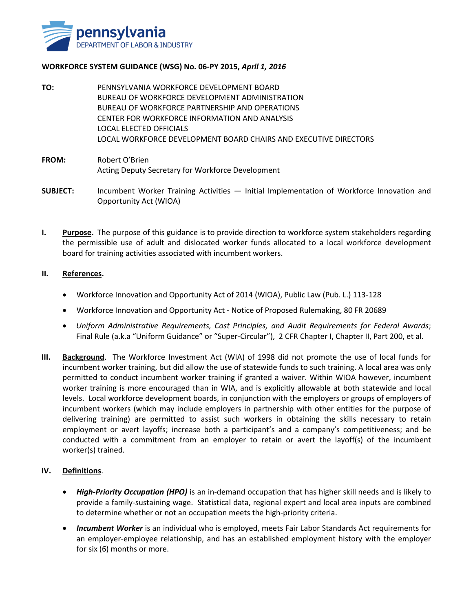

### **WORKFORCE SYSTEM GUIDANCE (WSG) No. 06-PY 2015,** *April 1, 2016*

**TO:** PENNSYLVANIA WORKFORCE DEVELOPMENT BOARD BUREAU OF WORKFORCE DEVELOPMENT ADMINISTRATION BUREAU OF WORKFORCE PARTNERSHIP AND OPERATIONS CENTER FOR WORKFORCE INFORMATION AND ANALYSIS LOCAL ELECTED OFFICIALS LOCAL WORKFORCE DEVELOPMENT BOARD CHAIRS AND EXECUTIVE DIRECTORS

## **FROM:** Robert O'Brien Acting Deputy Secretary for Workforce Development

- **SUBJECT:** Incumbent Worker Training Activities Initial Implementation of Workforce Innovation and Opportunity Act (WIOA)
- **I. Purpose.** The purpose of this guidance is to provide direction to workforce system stakeholders regarding the permissible use of adult and dislocated worker funds allocated to a local workforce development board for training activities associated with incumbent workers.

## **II. References.**

- Workforce Innovation and Opportunity Act of 2014 (WIOA), Public Law (Pub. L.) 113-128
- Workforce Innovation and Opportunity Act Notice of Proposed Rulemaking, 80 FR 20689
- *Uniform Administrative Requirements, Cost Principles, and Audit Requirements for Federal Awards*; Final Rule (a.k.a "Uniform Guidance" or "Super-Circular"), 2 CFR Chapter I, Chapter II, Part 200, et al.
- **III. Background**. The Workforce Investment Act (WIA) of 1998 did not promote the use of local funds for incumbent worker training, but did allow the use of statewide funds to such training. A local area was only permitted to conduct incumbent worker training if granted a waiver. Within WIOA however, incumbent worker training is more encouraged than in WIA, and is explicitly allowable at both statewide and local levels. Local workforce development boards, in conjunction with the employers or groups of employers of incumbent workers (which may include employers in partnership with other entities for the purpose of delivering training) are permitted to assist such workers in obtaining the skills necessary to retain employment or avert layoffs; increase both a participant's and a company's competitiveness; and be conducted with a commitment from an employer to retain or avert the layoff(s) of the incumbent worker(s) trained.

## **IV. Definitions**.

- *High-Priority Occupation (HPO)* is an in-demand occupation that has higher skill needs and is likely to provide a family-sustaining wage. Statistical data, regional expert and local area inputs are combined to determine whether or not an occupation meets the high-priority criteria.
- *Incumbent Worker* is an individual who is employed, meets Fair Labor Standards Act requirements for an employer-employee relationship, and has an established employment history with the employer for six (6) months or more.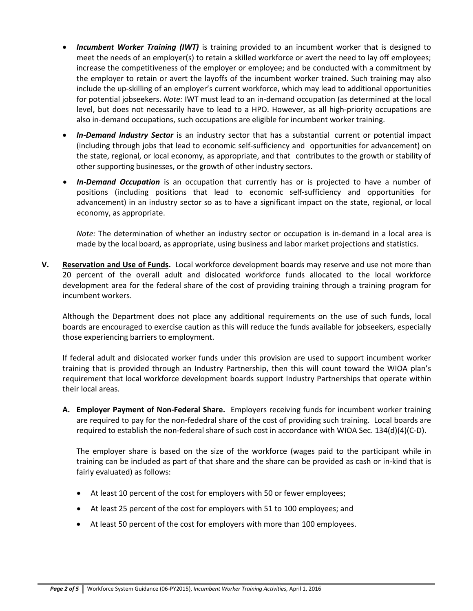- *Incumbent Worker Training (IWT)* is training provided to an incumbent worker that is designed to meet the needs of an employer(s) to retain a skilled workforce or avert the need to lay off employees; increase the competitiveness of the employer or employee; and be conducted with a commitment by the employer to retain or avert the layoffs of the incumbent worker trained. Such training may also include the up-skilling of an employer's current workforce, which may lead to additional opportunities for potential jobseekers. *Note:* IWT must lead to an in-demand occupation (as determined at the local level, but does not necessarily have to lead to a HPO. However, as all high-priority occupations are also in-demand occupations, such occupations are eligible for incumbent worker training.
- *In-Demand Industry Sector* is an industry sector that has a substantial current or potential impact (including through jobs that lead to economic self-sufficiency and opportunities for advancement) on the state, regional, or local economy, as appropriate, and that contributes to the growth or stability of other supporting businesses, or the growth of other industry sectors.
- *In-Demand Occupation* is an occupation that currently has or is projected to have a number of positions (including positions that lead to economic self-sufficiency and opportunities for advancement) in an industry sector so as to have a significant impact on the state, regional, or local economy, as appropriate.

*Note:* The determination of whether an industry sector or occupation is in-demand in a local area is made by the local board, as appropriate, using business and labor market projections and statistics.

**V. Reservation and Use of Funds.** Local workforce development boards may reserve and use not more than 20 percent of the overall adult and dislocated workforce funds allocated to the local workforce development area for the federal share of the cost of providing training through a training program for incumbent workers.

Although the Department does not place any additional requirements on the use of such funds, local boards are encouraged to exercise caution as this will reduce the funds available for jobseekers, especially those experiencing barriers to employment.

If federal adult and dislocated worker funds under this provision are used to support incumbent worker training that is provided through an Industry Partnership, then this will count toward the WIOA plan's requirement that local workforce development boards support Industry Partnerships that operate within their local areas.

**A. Employer Payment of Non-Federal Share.** Employers receiving funds for incumbent worker training are required to pay for the non-fededral share of the cost of providing such training. Local boards are required to establish the non-federal share of such cost in accordance with WIOA Sec. 134(d)(4)(C-D).

The employer share is based on the size of the workforce (wages paid to the participant while in training can be included as part of that share and the share can be provided as cash or in-kind that is fairly evaluated) as follows:

- At least 10 percent of the cost for employers with 50 or fewer employees;
- At least 25 percent of the cost for employers with 51 to 100 employees; and
- At least 50 percent of the cost for employers with more than 100 employees.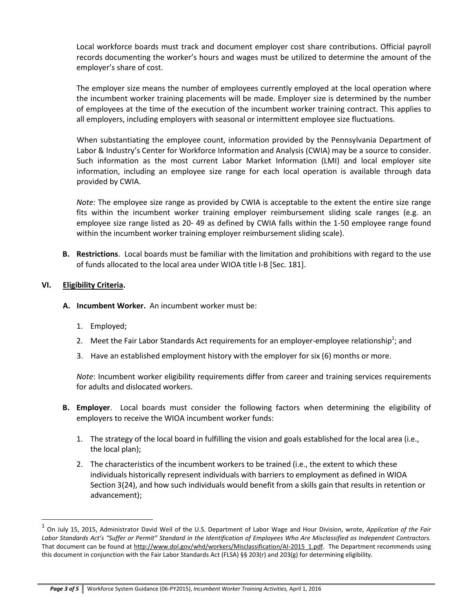Local workforce boards must track and document employer cost share contributions. Official payroll records documenting the worker's hours and wages must be utilized to determine the amount of the employer's share of cost.

The employer size means the number of employees currently employed at the local operation where the incumbent worker training placements will be made. Employer size is determined by the number of employees at the time of the execution of the incumbent worker training contract. This applies to all employers, including employers with seasonal or intermittent employee size fluctuations.

When substantiating the employee count, information provided by the Pennsylvania Department of Labor & Industry's Center for Workforce Information and Analysis (CWIA) may be a source to consider. Such information as the most current Labor Market Information (LMI) and local employer site information, including an employee size range for each local operation is available through data provided by CWIA.

*Note:* The employee size range as provided by CWIA is acceptable to the extent the entire size range fits within the incumbent worker training employer reimbursement sliding scale ranges (e.g. an employee size range listed as 20- 49 as defined by CWIA falls within the 1-50 employee range found within the incumbent worker training employer reimbursement sliding scale).

**B. Restrictions**. Local boards must be familiar with the limitation and prohibitions with regard to the use of funds allocated to the local area under WIOA title I-B [Sec. 181].

# **VI. Eligibility Criteria.**

 $\overline{\phantom{a}}$ 

- **A. Incumbent Worker.** An incumbent worker must be:
	- 1. Employed;
	- 2. Meet the Fair Labor Standards Act requirements for an employer-employee relationship<sup>1</sup>; and
	- 3. Have an established employment history with the employer for six (6) months or more.

*Note*: Incumbent worker eligibility requirements differ from career and training services requirements for adults and dislocated workers.

- **B. Employer**. Local boards must consider the following factors when determining the eligibility of employers to receive the WIOA incumbent worker funds:
	- 1. The strategy of the local board in fulfilling the vision and goals established for the local area (i.e., the local plan);
	- 2. The characteristics of the incumbent workers to be trained (i.e., the extent to which these individuals historically represent individuals with barriers to employment as defined in WIOA Section 3(24), and how such individuals would benefit from a skills gain that results in retention or advancement);

<sup>1</sup> On July 15, 2015, Administrator David Weil of the U.S. Department of Labor Wage and Hour Division, wrote, *Application of the Fair* Labor Standards Act's "Suffer or Permit" Standard in the Identification of Employees Who Are Misclassified as Independent Contractors. That document can be found at [http://www.dol.gov/whd/workers/Misclassification/AI-2015\\_1.pdf.](http://www.dol.gov/whd/workers/Misclassification/AI-2015_1.pdf) The Department recommends using this document in conjunction with the Fair Labor Standards Act (FLSA) §§ 203(r) and 203(g) for determining eligibility.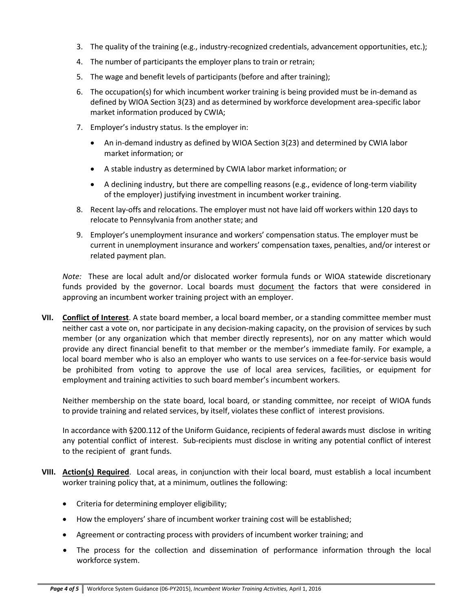- 3. The quality of the training (e.g., industry-recognized credentials, advancement opportunities, etc.);
- 4. The number of participants the employer plans to train or retrain;
- 5. The wage and benefit levels of participants (before and after training);
- 6. The occupation(s) for which incumbent worker training is being provided must be in-demand as defined by WIOA Section 3(23) and as determined by workforce development area-specific labor market information produced by CWIA;
- 7. Employer's industry status. Is the employer in:
	- An in-demand industry as defined by WIOA Section 3(23) and determined by CWIA labor market information; or
	- A stable industry as determined by CWIA labor market information; or
	- A declining industry, but there are compelling reasons (e.g., evidence of long-term viability of the employer) justifying investment in incumbent worker training.
- 8. Recent lay-offs and relocations. The employer must not have laid off workers within 120 days to relocate to Pennsylvania from another state; and
- 9. Employer's unemployment insurance and workers' compensation status. The employer must be current in unemployment insurance and workers' compensation taxes, penalties, and/or interest or related payment plan.

*Note:* These are local adult and/or dislocated worker formula funds or WIOA statewide discretionary funds provided by the governor. Local boards must document the factors that were considered in approving an incumbent worker training project with an employer.

**VII. Conflict of Interest**. A state board member, a local board member, or a standing committee member must neither cast a vote on, nor participate in any decision-making capacity, on the provision of services by such member (or any organization which that member directly represents), nor on any matter which would provide any direct financial benefit to that member or the member's immediate family. For example, a local board member who is also an employer who wants to use services on a fee-for-service basis would be prohibited from voting to approve the use of local area services, facilities, or equipment for employment and training activities to such board member's incumbent workers.

Neither membership on the state board, local board, or standing committee, nor receipt of WIOA funds to provide training and related services, by itself, violates these conflict of interest provisions.

In accordance with §200.112 of the Uniform Guidance, recipients of federal awards must disclose in writing any potential conflict of interest. Sub-recipients must disclose in writing any potential conflict of interest to the recipient of grant funds.

- **VIII. Action(s) Required**. Local areas, in conjunction with their local board, must establish a local incumbent worker training policy that, at a minimum, outlines the following:
	- Criteria for determining employer eligibility;
	- How the employers' share of incumbent worker training cost will be established;
	- Agreement or contracting process with providers of incumbent worker training; and
	- The process for the collection and dissemination of performance information through the local workforce system.